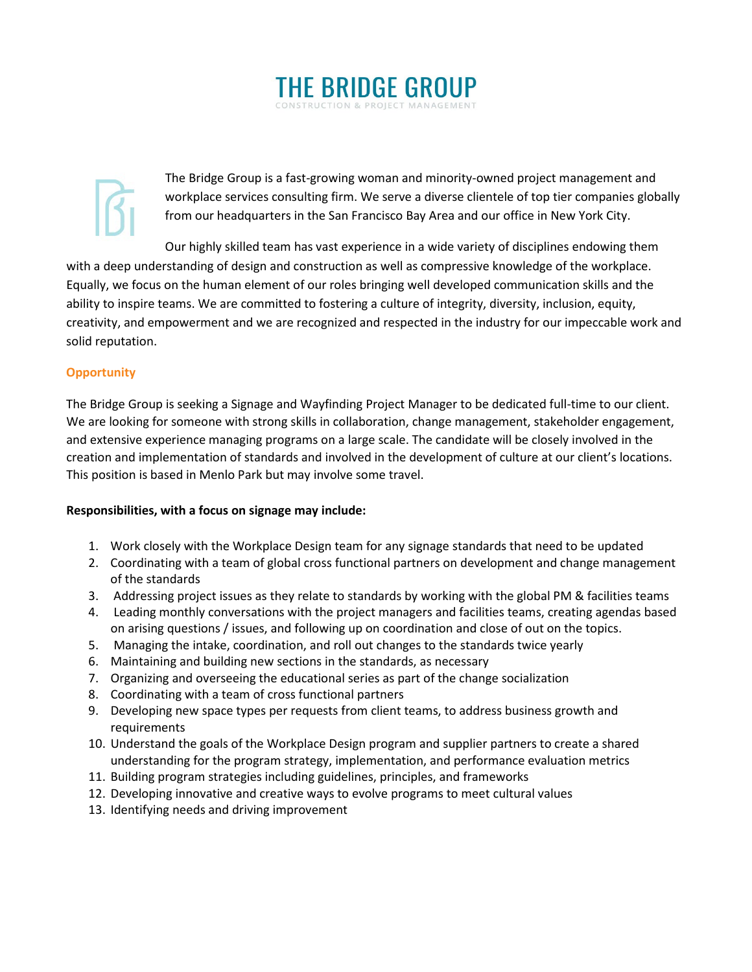

The Bridge Group is a fast-growing woman and minority-owned project management and workplace services consulting firm. We serve a diverse clientele of top tier companies globally from our headquarters in the San Francisco Bay Area and our office in New York City.

Our highly skilled team has vast experience in a wide variety of disciplines endowing them with a deep understanding of design and construction as well as compressive knowledge of the workplace. Equally, we focus on the human element of our roles bringing well developed communication skills and the ability to inspire teams. We are committed to fostering a culture of integrity, diversity, inclusion, equity, creativity, and empowerment and we are recognized and respected in the industry for our impeccable work and solid reputation.

# **Opportunity**

The Bridge Group is seeking a Signage and Wayfinding Project Manager to be dedicated full-time to our client. We are looking for someone with strong skills in collaboration, change management, stakeholder engagement, and extensive experience managing programs on a large scale. The candidate will be closely involved in the creation and implementation of standards and involved in the development of culture at our client's locations. This position is based in Menlo Park but may involve some travel.

# **Responsibilities, with a focus on signage may include:**

- 1. Work closely with the Workplace Design team for any signage standards that need to be updated
- 2. Coordinating with a team of global cross functional partners on development and change management of the standards
- 3. Addressing project issues as they relate to standards by working with the global PM & facilities teams
- 4. Leading monthly conversations with the project managers and facilities teams, creating agendas based on arising questions / issues, and following up on coordination and close of out on the topics.
- 5. Managing the intake, coordination, and roll out changes to the standards twice yearly
- 6. Maintaining and building new sections in the standards, as necessary
- 7. Organizing and overseeing the educational series as part of the change socialization
- 8. Coordinating with a team of cross functional partners
- 9. Developing new space types per requests from client teams, to address business growth and requirements
- 10. Understand the goals of the Workplace Design program and supplier partners to create a shared understanding for the program strategy, implementation, and performance evaluation metrics
- 11. Building program strategies including guidelines, principles, and frameworks
- 12. Developing innovative and creative ways to evolve programs to meet cultural values
- 13. Identifying needs and driving improvement